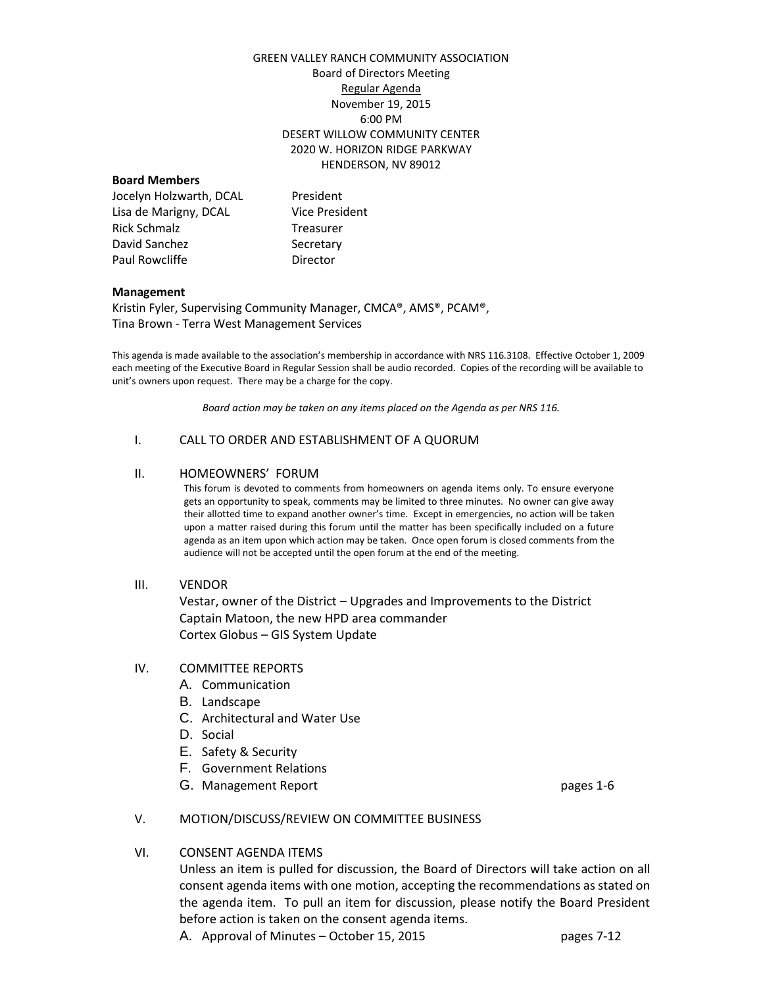## GREEN VALLEY RANCH COMMUNITY ASSOCIATION Board of Directors Meeting Regular Agenda November 19, 2015 6:00 PM DESERT WILLOW COMMUNITY CENTER 2020 W. HORIZON RIDGE PARKWAY HENDERSON, NV 89012

## **Board Members**

| President             |
|-----------------------|
| <b>Vice President</b> |
| Treasurer             |
| Secretary             |
| Director              |
|                       |

#### **Management**

Kristin Fyler, Supervising Community Manager, CMCA®, AMS®, PCAM®, Tina Brown - Terra West Management Services

This agenda is made available to the association's membership in accordance with NRS 116.3108. Effective October 1, 2009 each meeting of the Executive Board in Regular Session shall be audio recorded. Copies of the recording will be available to unit's owners upon request. There may be a charge for the copy.

*Board action may be taken on any items placed on the Agenda as per NRS 116.*

#### I. CALL TO ORDER AND ESTABLISHMENT OF A QUORUM

#### II. HOMEOWNERS' FORUM

This forum is devoted to comments from homeowners on agenda items only. To ensure everyone gets an opportunity to speak, comments may be limited to three minutes. No owner can give away their allotted time to expand another owner's time. Except in emergencies, no action will be taken upon a matter raised during this forum until the matter has been specifically included on a future agenda as an item upon which action may be taken. Once open forum is closed comments from the audience will not be accepted until the open forum at the end of the meeting.

#### III. VENDOR

Vestar, owner of the District – Upgrades and Improvements to the District Captain Matoon, the new HPD area commander Cortex Globus – GIS System Update

## IV. COMMITTEE REPORTS

- A. Communication
- B. Landscape
- C. Architectural and Water Use
- D. Social
- E. Safety & Security
- F. Government Relations
- G. Management Report **pages** 1-6

## V. MOTION/DISCUSS/REVIEW ON COMMITTEE BUSINESS

## VI. CONSENT AGENDA ITEMS

Unless an item is pulled for discussion, the Board of Directors will take action on all consent agenda items with one motion, accepting the recommendations as stated on the agenda item. To pull an item for discussion, please notify the Board President before action is taken on the consent agenda items.

A. Approval of Minutes – October 15, 2015 https://www.pages 7-12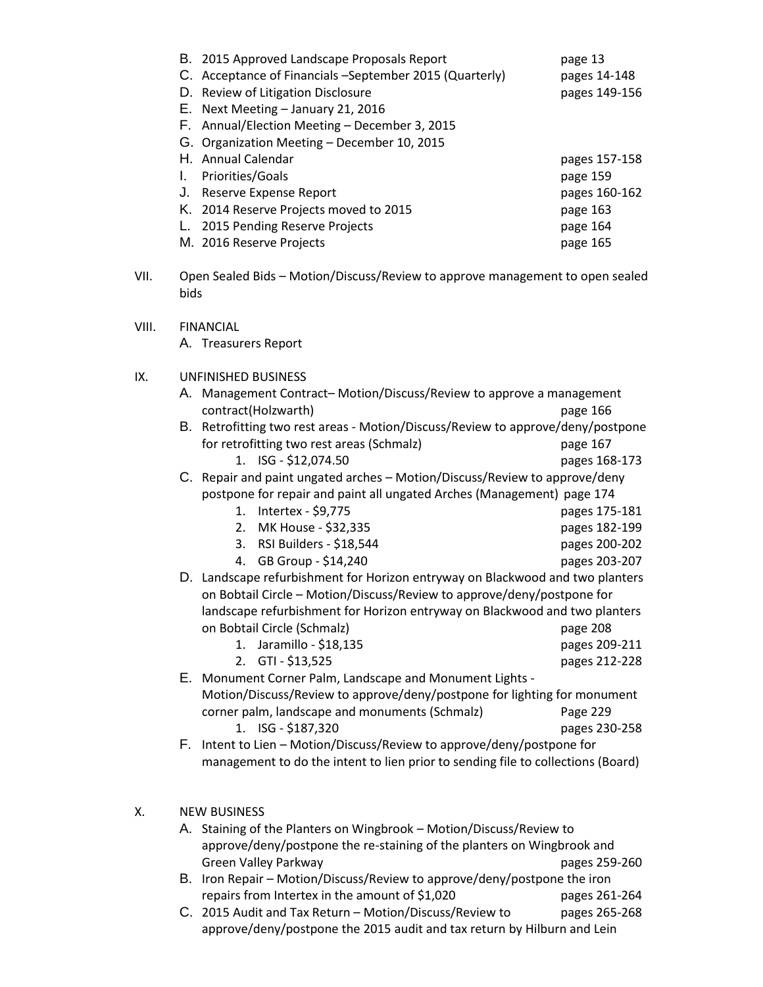| B. 2015 Approved Landscape Proposals Report              | page 13       |
|----------------------------------------------------------|---------------|
| C. Acceptance of Financials – September 2015 (Quarterly) | pages 14-148  |
| D. Review of Litigation Disclosure                       | pages 149-156 |
| E. Next Meeting - January 21, 2016                       |               |
| F. Annual/Election Meeting - December 3, 2015            |               |
| G. Organization Meeting - December 10, 2015              |               |
| H. Annual Calendar                                       | pages 157-158 |
| Priorities/Goals                                         | page 159      |
| Reserve Expense Report                                   | pages 160-162 |
| K. 2014 Reserve Projects moved to 2015                   | page 163      |
| 2015 Pending Reserve Projects                            | page 164      |
| M. 2016 Reserve Projects                                 | page 165      |
|                                                          |               |

- VII. Open Sealed Bids Motion/Discuss/Review to approve management to open sealed bids
- VIII. FINANCIAL

A. Treasurers Report

# IX. UNFINISHED BUSINESS

| A. Management Contract-Motion/Discuss/Review to approve a management |          |
|----------------------------------------------------------------------|----------|
| contract(Holzwarth)                                                  | page 166 |

B. Retrofitting two rest areas - Motion/Discuss/Review to approve/deny/postpone for retrofitting two rest areas (Schmalz) page 167

1. ISG - \$12,074.50 pages 168-173 C. Repair and paint ungated arches – Motion/Discuss/Review to approve/deny postpone for repair and paint all ungated Arches (Management) page 174

- 1. Intertex \$9,775 pages 175-181
	- 2. MK House \$32,335 pages 182-199
	- 3. RSI Builders \$18,544 pages 200-202 4. GB Group - \$14,240 pages 203-207
- D. Landscape refurbishment for Horizon entryway on Blackwood and two planters on Bobtail Circle – Motion/Discuss/Review to approve/deny/postpone for landscape refurbishment for Horizon entryway on Blackwood and two planters on Bobtail Circle (Schmalz) page 208
	- 1. Jaramillo \$18,135 pages 209-211 2. GTI - \$13,525 pages 212-228
- E. Monument Corner Palm, Landscape and Monument Lights Motion/Discuss/Review to approve/deny/postpone for lighting for monument corner palm, landscape and monuments (Schmalz) Page 229
- 1. ISG \$187,320 pages 230-258 F. Intent to Lien – Motion/Discuss/Review to approve/deny/postpone for management to do the intent to lien prior to sending file to collections (Board)

# X. NEW BUSINESS

- A. Staining of the Planters on Wingbrook Motion/Discuss/Review to approve/deny/postpone the re-staining of the planters on Wingbrook and Green Valley Parkway **pages 259-260**
- B. Iron Repair Motion/Discuss/Review to approve/deny/postpone the iron repairs from Intertex in the amount of \$1,020 pages 261-264
- C. 2015 Audit and Tax Return Motion/Discuss/Review to pages 265-268 approve/deny/postpone the 2015 audit and tax return by Hilburn and Lein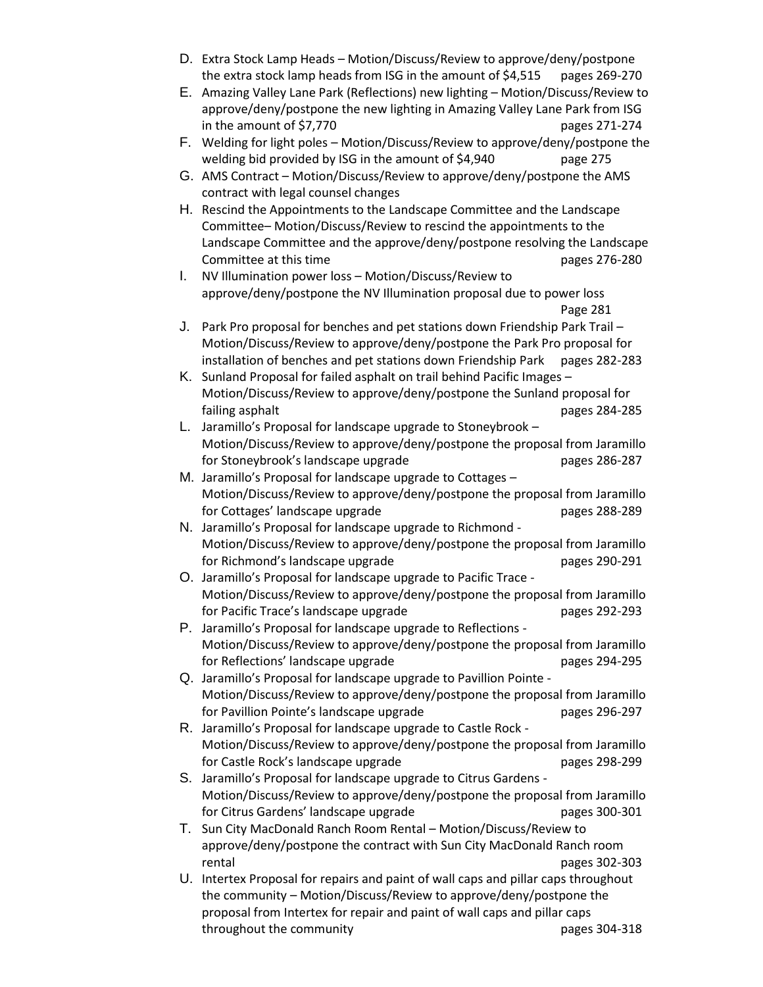- D. Extra Stock Lamp Heads Motion/Discuss/Review to approve/deny/postpone the extra stock lamp heads from ISG in the amount of \$4,515 pages 269-270
- E. Amazing Valley Lane Park (Reflections) new lighting Motion/Discuss/Review to approve/deny/postpone the new lighting in Amazing Valley Lane Park from ISG in the amount of \$7,770 pages 271-274
- F. Welding for light poles Motion/Discuss/Review to approve/deny/postpone the welding bid provided by ISG in the amount of \$4,940 page 275
- G. AMS Contract Motion/Discuss/Review to approve/deny/postpone the AMS contract with legal counsel changes
- H. Rescind the Appointments to the Landscape Committee and the Landscape Committee– Motion/Discuss/Review to rescind the appointments to the Landscape Committee and the approve/deny/postpone resolving the Landscape Committee at this time **pages 276-280**
- I. NV Illumination power loss Motion/Discuss/Review to approve/deny/postpone the NV Illumination proposal due to power loss Page 281
- J. Park Pro proposal for benches and pet stations down Friendship Park Trail Motion/Discuss/Review to approve/deny/postpone the Park Pro proposal for installation of benches and pet stations down Friendship Park pages 282-283
- K. Sunland Proposal for failed asphalt on trail behind Pacific Images Motion/Discuss/Review to approve/deny/postpone the Sunland proposal for failing asphalt **pages 284-285**
- L. Jaramillo's Proposal for landscape upgrade to Stoneybrook Motion/Discuss/Review to approve/deny/postpone the proposal from Jaramillo for Stoneybrook's landscape upgrade entitled by the pages 286-287
- M. Jaramillo's Proposal for landscape upgrade to Cottages Motion/Discuss/Review to approve/deny/postpone the proposal from Jaramillo for Cottages' landscape upgrade pages 288-289
- N. Jaramillo's Proposal for landscape upgrade to Richmond Motion/Discuss/Review to approve/deny/postpone the proposal from Jaramillo for Richmond's landscape upgrade pages 290-291
- O. Jaramillo's Proposal for landscape upgrade to Pacific Trace Motion/Discuss/Review to approve/deny/postpone the proposal from Jaramillo for Pacific Trace's landscape upgrade example to the pages 292-293
- P. Jaramillo's Proposal for landscape upgrade to Reflections Motion/Discuss/Review to approve/deny/postpone the proposal from Jaramillo for Reflections' landscape upgrade pages 294-295
- Q. Jaramillo's Proposal for landscape upgrade to Pavillion Pointe Motion/Discuss/Review to approve/deny/postpone the proposal from Jaramillo for Pavillion Pointe's landscape upgrade pages 296-297
- R. Jaramillo's Proposal for landscape upgrade to Castle Rock Motion/Discuss/Review to approve/deny/postpone the proposal from Jaramillo for Castle Rock's landscape upgrade pages 298-299
- S. Jaramillo's Proposal for landscape upgrade to Citrus Gardens Motion/Discuss/Review to approve/deny/postpone the proposal from Jaramillo for Citrus Gardens' landscape upgrade example to the pages 300-301
- T. Sun City MacDonald Ranch Room Rental Motion/Discuss/Review to approve/deny/postpone the contract with Sun City MacDonald Ranch room rental pages 302-303
- U. Intertex Proposal for repairs and paint of wall caps and pillar caps throughout the community – Motion/Discuss/Review to approve/deny/postpone the proposal from Intertex for repair and paint of wall caps and pillar caps throughout the community example of the community pages 304-318